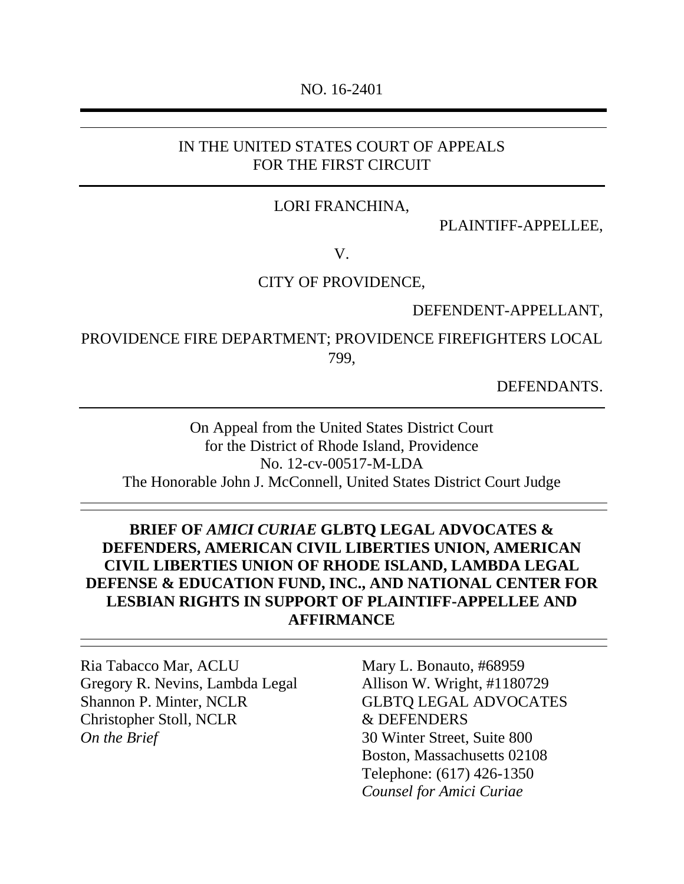#### NO. 16-2401

### IN THE UNITED STATES COURT OF APPEALS FOR THE FIRST CIRCUIT

#### LORI FRANCHINA,

PLAINTIFF-APPELLEE,

#### V.

#### CITY OF PROVIDENCE,

DEFENDENT-APPELLANT,

PROVIDENCE FIRE DEPARTMENT; PROVIDENCE FIREFIGHTERS LOCAL 799,

DEFENDANTS.

On Appeal from the United States District Court for the District of Rhode Island, Providence No. 12-cv-00517-M-LDA The Honorable John J. McConnell, United States District Court Judge

# **BRIEF OF** *AMICI CURIAE* **GLBTQ LEGAL ADVOCATES & DEFENDERS, AMERICAN CIVIL LIBERTIES UNION, AMERICAN CIVIL LIBERTIES UNION OF RHODE ISLAND, LAMBDA LEGAL DEFENSE & EDUCATION FUND, INC., AND NATIONAL CENTER FOR LESBIAN RIGHTS IN SUPPORT OF PLAINTIFF-APPELLEE AND AFFIRMANCE**

Ria Tabacco Mar, ACLU Mary L. Bonauto, #68959 Gregory R. Nevins, Lambda Legal Allison W. Wright, #1180729 Shannon P. Minter, NCLR GLBTQ LEGAL ADVOCATES Christopher Stoll, NCLR & DEFENDERS *On the Brief* 30 Winter Street, Suite 800

Boston, Massachusetts 02108 Telephone: (617) 426-1350 *Counsel for Amici Curiae*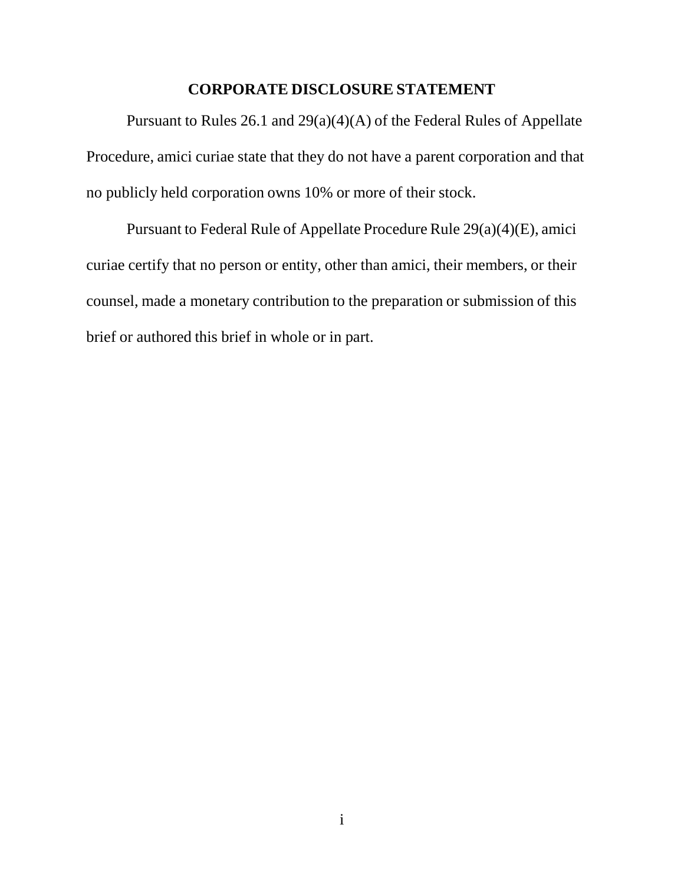### **CORPORATE DISCLOSURE STATEMENT**

Pursuant to Rules 26.1 and 29(a)(4)(A) of the Federal Rules of Appellate Procedure, amici curiae state that they do not have a parent corporation and that no publicly held corporation owns 10% or more of their stock.

Pursuant to Federal Rule of Appellate Procedure Rule 29(a)(4)(E), amici curiae certify that no person or entity, other than amici, their members, or their counsel, made a monetary contribution to the preparation or submission of this brief or authored this brief in whole or in part.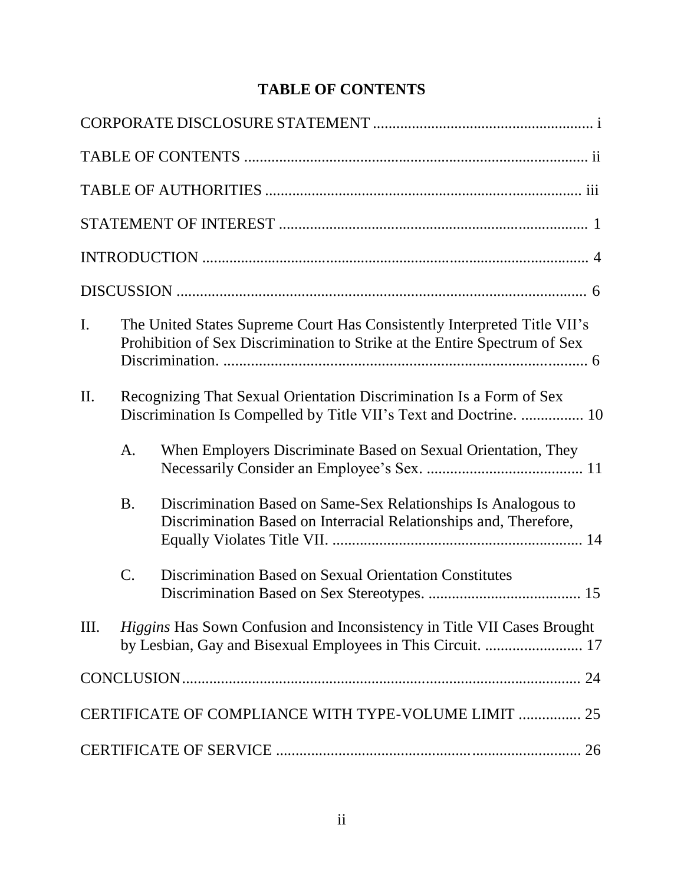| I.  | The United States Supreme Court Has Consistently Interpreted Title VII's<br>Prohibition of Sex Discrimination to Strike at the Entire Spectrum of Sex |                                                                                                                                               |  |
|-----|-------------------------------------------------------------------------------------------------------------------------------------------------------|-----------------------------------------------------------------------------------------------------------------------------------------------|--|
| II. |                                                                                                                                                       | Recognizing That Sexual Orientation Discrimination Is a Form of Sex<br>Discrimination Is Compelled by Title VII's Text and Doctrine.  10      |  |
|     | A.                                                                                                                                                    | When Employers Discriminate Based on Sexual Orientation, They                                                                                 |  |
|     | <b>B.</b>                                                                                                                                             | Discrimination Based on Same-Sex Relationships Is Analogous to<br>Discrimination Based on Interracial Relationships and, Therefore,           |  |
|     | $\mathcal{C}$ .                                                                                                                                       | Discrimination Based on Sexual Orientation Constitutes                                                                                        |  |
| Ш.  |                                                                                                                                                       | <i>Higgins</i> Has Sown Confusion and Inconsistency in Title VII Cases Brought<br>by Lesbian, Gay and Bisexual Employees in This Circuit.  17 |  |
|     |                                                                                                                                                       |                                                                                                                                               |  |
|     |                                                                                                                                                       | CERTIFICATE OF COMPLIANCE WITH TYPE-VOLUME LIMIT  25                                                                                          |  |
|     |                                                                                                                                                       |                                                                                                                                               |  |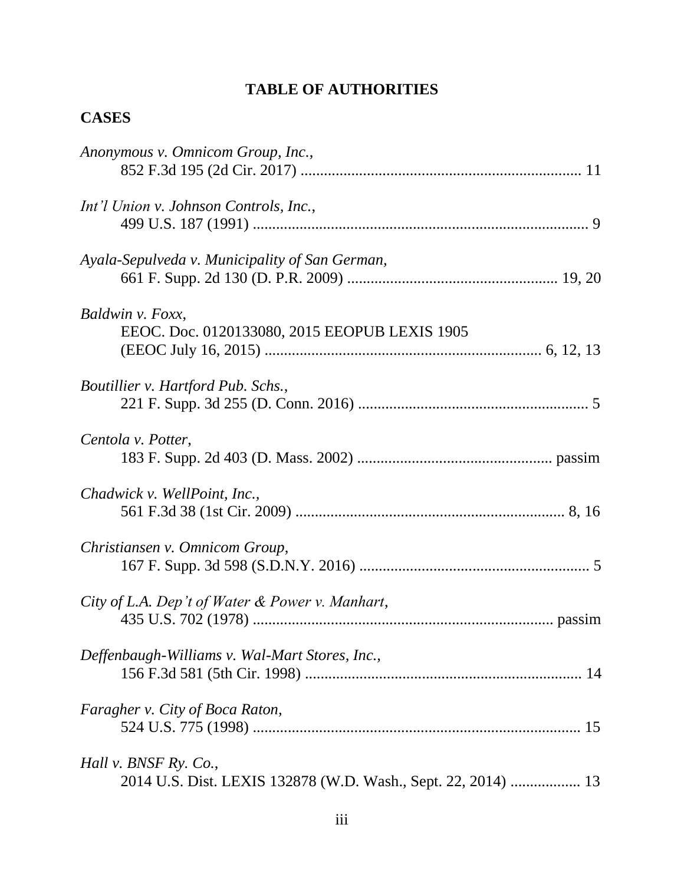# **TABLE OF AUTHORITIES**

# **CASES**

| Anonymous v. Omnicom Group, Inc.,                             |  |
|---------------------------------------------------------------|--|
|                                                               |  |
| Int'l Union v. Johnson Controls, Inc.,                        |  |
|                                                               |  |
| Ayala-Sepulveda v. Municipality of San German,                |  |
|                                                               |  |
| Baldwin v. Foxx,                                              |  |
| EEOC. Doc. 0120133080, 2015 EEOPUB LEXIS 1905                 |  |
|                                                               |  |
| Boutillier v. Hartford Pub. Schs.,                            |  |
|                                                               |  |
| Centola v. Potter,                                            |  |
|                                                               |  |
| Chadwick v. WellPoint, Inc.,                                  |  |
|                                                               |  |
| Christiansen v. Omnicom Group,                                |  |
|                                                               |  |
| City of L.A. Dep't of Water & Power v. Manhart,               |  |
|                                                               |  |
| Deffenbaugh-Williams v. Wal-Mart Stores, Inc.,                |  |
|                                                               |  |
| Faragher v. City of Boca Raton,                               |  |
|                                                               |  |
| Hall v. BNSF Ry. Co.,                                         |  |
| 2014 U.S. Dist. LEXIS 132878 (W.D. Wash., Sept. 22, 2014)  13 |  |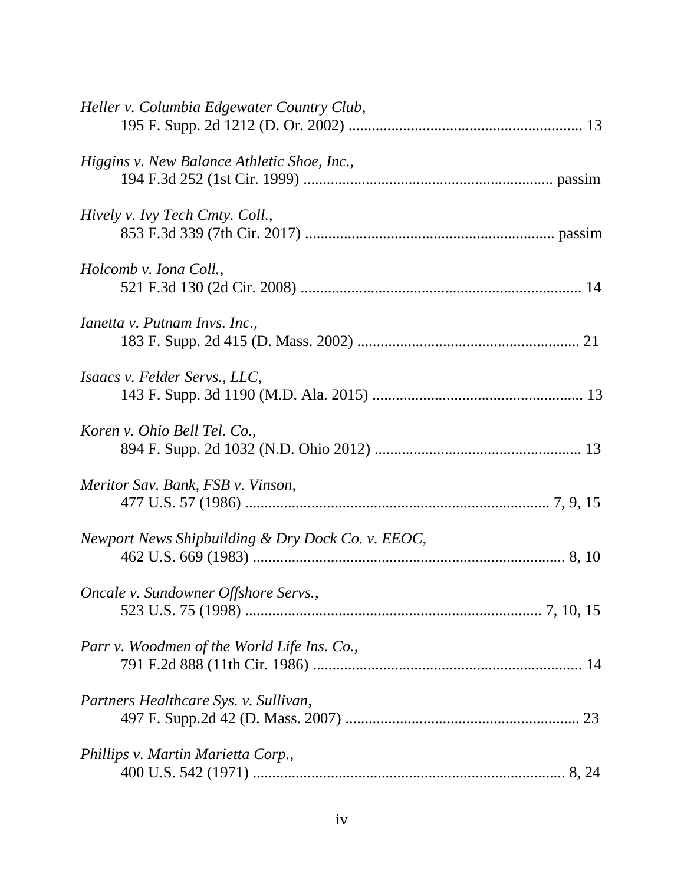| Heller v. Columbia Edgewater Country Club,        |
|---------------------------------------------------|
| Higgins v. New Balance Athletic Shoe, Inc.,       |
| Hively v. Ivy Tech Cmty. Coll.,                   |
| Holcomb v. Iona Coll.,                            |
| <i>Ianetta v. Putnam Invs. Inc.,</i>              |
| <i>Isaacs v. Felder Servs., LLC,</i>              |
| Koren v. Ohio Bell Tel. Co.,                      |
| Meritor Sav. Bank, FSB v. Vinson,                 |
| Newport News Shipbuilding & Dry Dock Co. v. EEOC, |
| Oncale v. Sundowner Offshore Servs.,              |
| Parr v. Woodmen of the World Life Ins. Co.,       |
| Partners Healthcare Sys. v. Sullivan,             |
| Phillips v. Martin Marietta Corp.,                |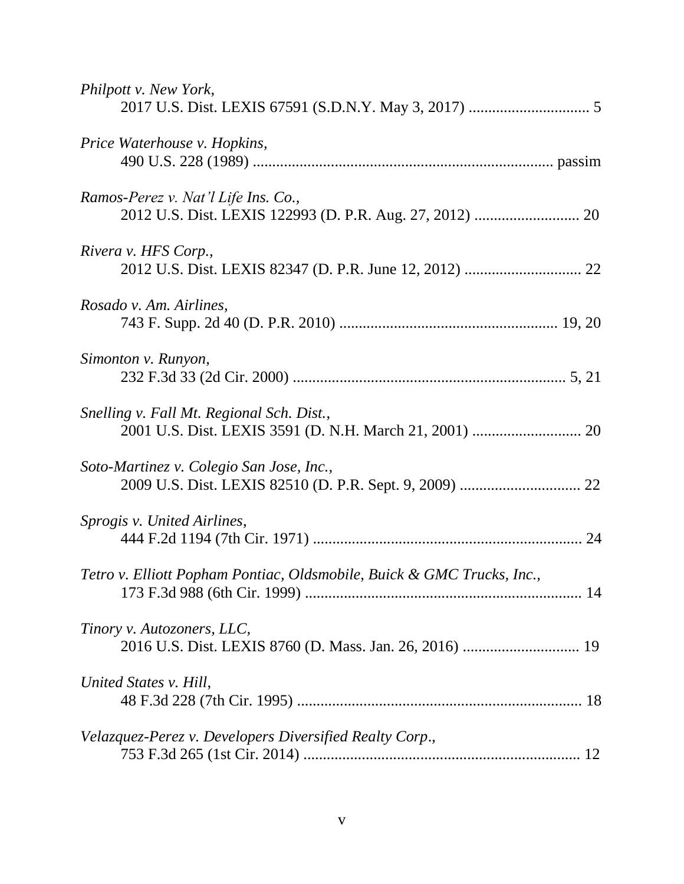| Philpott v. New York,                                                  |
|------------------------------------------------------------------------|
| Price Waterhouse v. Hopkins,                                           |
| Ramos-Perez v. Nat'l Life Ins. Co.,                                    |
| Rivera v. HFS Corp.,                                                   |
| Rosado v. Am. Airlines,                                                |
| Simonton v. Runyon,                                                    |
| Snelling v. Fall Mt. Regional Sch. Dist.,                              |
| Soto-Martinez v. Colegio San Jose, Inc.,                               |
| Sprogis v. United Airlines,                                            |
| Tetro v. Elliott Popham Pontiac, Oldsmobile, Buick & GMC Trucks, Inc., |
| Tinory v. Autozoners, LLC,                                             |
| United States v. Hill,                                                 |
| Velazquez-Perez v. Developers Diversified Realty Corp.,                |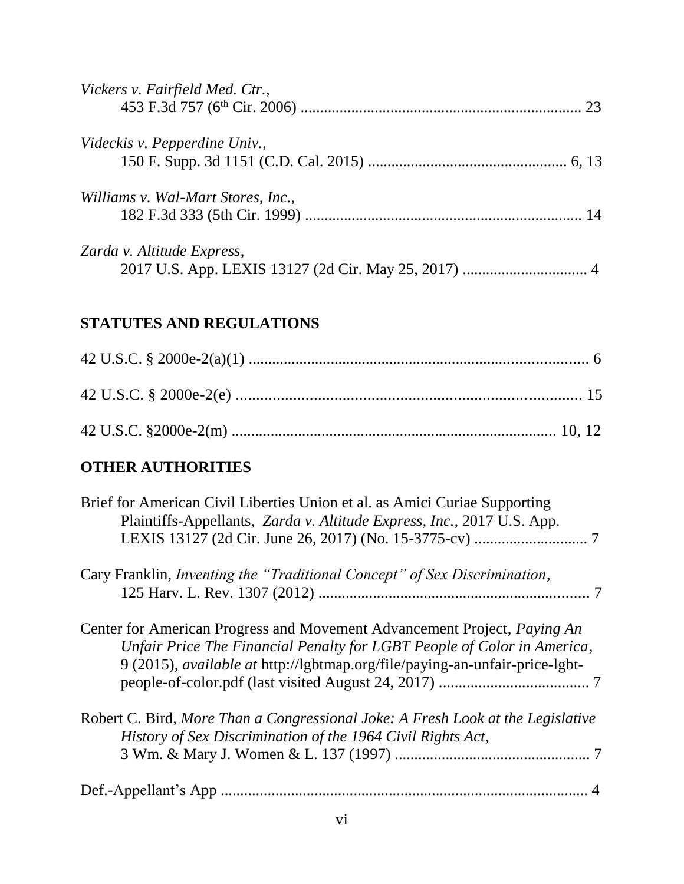| Vickers v. Fairfield Med. Ctr.,    |  |
|------------------------------------|--|
| Videckis v. Pepperdine Univ.,      |  |
|                                    |  |
| Williams v. Wal-Mart Stores, Inc., |  |
|                                    |  |
| Zarda v. Altitude Express,         |  |
|                                    |  |

# **STATUTES AND REGULATIONS**

# **OTHER AUTHORITIES**

| Brief for American Civil Liberties Union et al. as Amici Curiae Supporting<br>Plaintiffs-Appellants, Zarda v. Altitude Express, Inc., 2017 U.S. App.                                                                                      |
|-------------------------------------------------------------------------------------------------------------------------------------------------------------------------------------------------------------------------------------------|
| Cary Franklin, <i>Inventing the "Traditional Concept" of Sex Discrimination</i> ,                                                                                                                                                         |
| Center for American Progress and Movement Advancement Project, Paying An<br>Unfair Price The Financial Penalty for LGBT People of Color in America,<br>9 (2015), <i>available at http://lgbtmap.org/file/paying-an-unfair-price-lgbt-</i> |
| Robert C. Bird, More Than a Congressional Joke: A Fresh Look at the Legislative<br>History of Sex Discrimination of the 1964 Civil Rights Act,                                                                                            |
|                                                                                                                                                                                                                                           |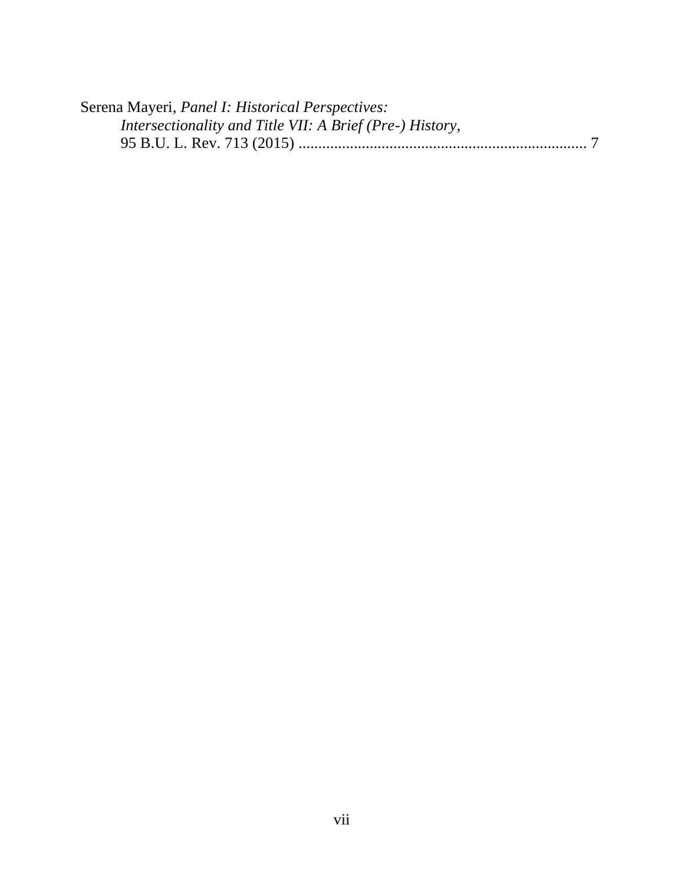| Serena Mayeri, Panel I: Historical Perspectives:         |  |
|----------------------------------------------------------|--|
| Intersectionality and Title VII: A Brief (Pre-) History, |  |
|                                                          |  |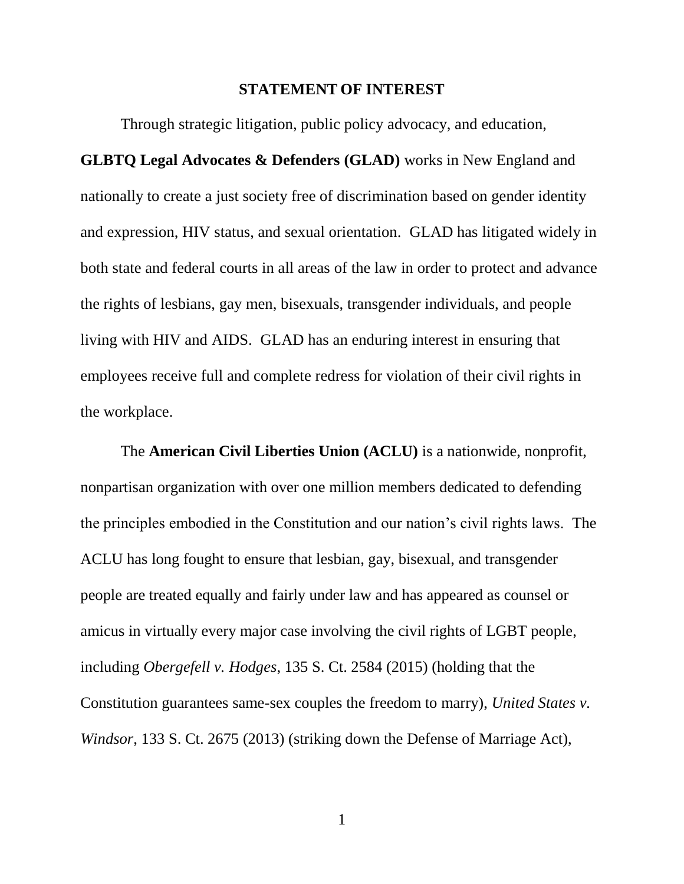#### **STATEMENT OF INTEREST**

Through strategic litigation, public policy advocacy, and education,

**GLBTQ Legal Advocates & Defenders (GLAD)** works in New England and nationally to create a just society free of discrimination based on gender identity and expression, HIV status, and sexual orientation. GLAD has litigated widely in both state and federal courts in all areas of the law in order to protect and advance the rights of lesbians, gay men, bisexuals, transgender individuals, and people living with HIV and AIDS. GLAD has an enduring interest in ensuring that employees receive full and complete redress for violation of their civil rights in the workplace.

The **American Civil Liberties Union (ACLU)** is a nationwide, nonprofit, nonpartisan organization with over one million members dedicated to defending the principles embodied in the Constitution and our nation's civil rights laws. The ACLU has long fought to ensure that lesbian, gay, bisexual, and transgender people are treated equally and fairly under law and has appeared as counsel or amicus in virtually every major case involving the civil rights of LGBT people, including *Obergefell v. Hodges*, 135 S. Ct. 2584 (2015) (holding that the Constitution guarantees same-sex couples the freedom to marry), *United States v. Windsor*, 133 S. Ct. 2675 (2013) (striking down the Defense of Marriage Act),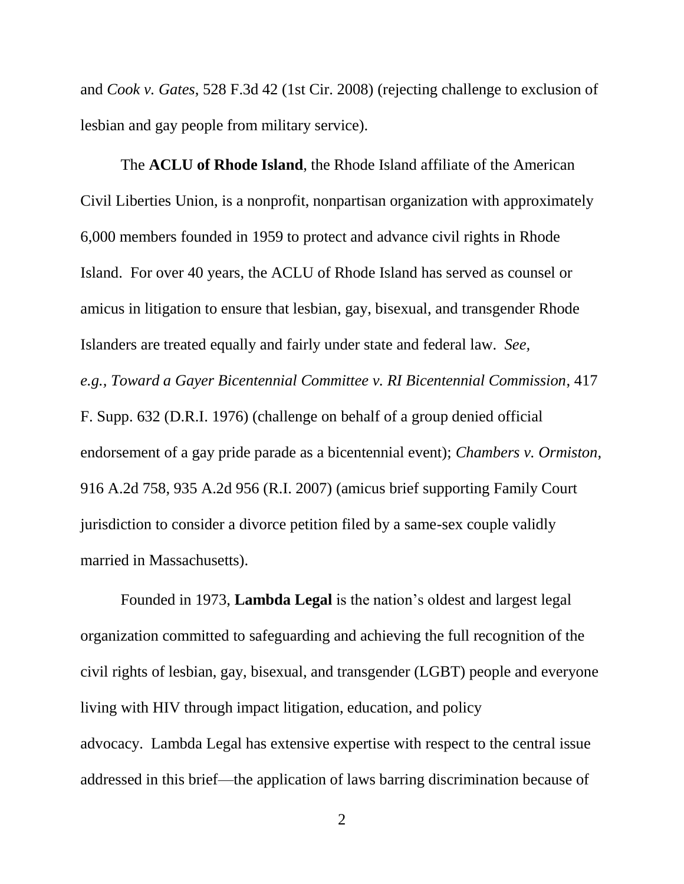and *Cook v. Gates*, 528 F.3d 42 (1st Cir. 2008) (rejecting challenge to exclusion of lesbian and gay people from military service).

The **ACLU of Rhode Island**, the Rhode Island affiliate of the American Civil Liberties Union, is a nonprofit, nonpartisan organization with approximately 6,000 members founded in 1959 to protect and advance civil rights in Rhode Island. For over 40 years, the ACLU of Rhode Island has served as counsel or amicus in litigation to ensure that lesbian, gay, bisexual, and transgender Rhode Islanders are treated equally and fairly under state and federal law. *See, e.g., Toward a Gayer Bicentennial Committee v. RI Bicentennial Commission*, 417 F. Supp. 632 (D.R.I. 1976) (challenge on behalf of a group denied official endorsement of a gay pride parade as a bicentennial event); *Chambers v. Ormiston*, 916 A.2d 758, 935 A.2d 956 (R.I. 2007) (amicus brief supporting Family Court jurisdiction to consider a divorce petition filed by a same-sex couple validly married in Massachusetts).

Founded in 1973, **Lambda Legal** is the nation's oldest and largest legal organization committed to safeguarding and achieving the full recognition of the civil rights of lesbian, gay, bisexual, and transgender (LGBT) people and everyone living with HIV through impact litigation, education, and policy advocacy. Lambda Legal has extensive expertise with respect to the central issue addressed in this brief—the application of laws barring discrimination because of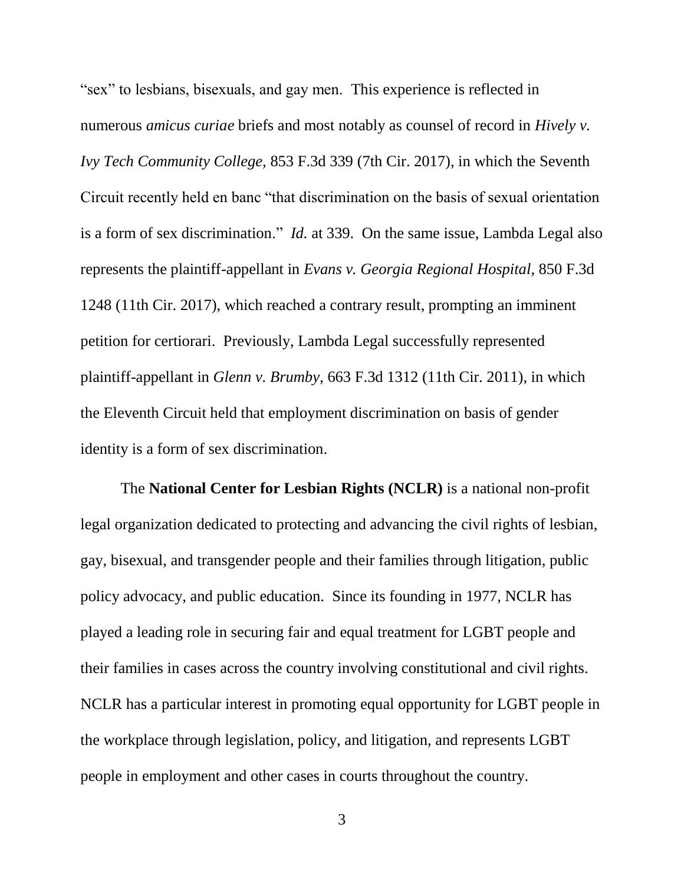"sex" to lesbians, bisexuals, and gay men. This experience is reflected in numerous *amicus curiae* briefs and most notably as counsel of record in *Hively v. Ivy Tech Community College,* 853 F.3d 339 (7th Cir. 2017), in which the Seventh Circuit recently held en banc "that discrimination on the basis of sexual orientation is a form of sex discrimination." *Id.* at 339. On the same issue, Lambda Legal also represents the plaintiff-appellant in *Evans v. Georgia Regional Hospital*, 850 F.3d 1248 (11th Cir. 2017), which reached a contrary result, prompting an imminent petition for certiorari. Previously, Lambda Legal successfully represented plaintiff-appellant in *Glenn v. Brumby*, 663 F.3d 1312 (11th Cir. 2011), in which the Eleventh Circuit held that employment discrimination on basis of gender identity is a form of sex discrimination.

The **National Center for Lesbian Rights (NCLR)** is a national non-profit legal organization dedicated to protecting and advancing the civil rights of lesbian, gay, bisexual, and transgender people and their families through litigation, public policy advocacy, and public education. Since its founding in 1977, NCLR has played a leading role in securing fair and equal treatment for LGBT people and their families in cases across the country involving constitutional and civil rights. NCLR has a particular interest in promoting equal opportunity for LGBT people in the workplace through legislation, policy, and litigation, and represents LGBT people in employment and other cases in courts throughout the country.

3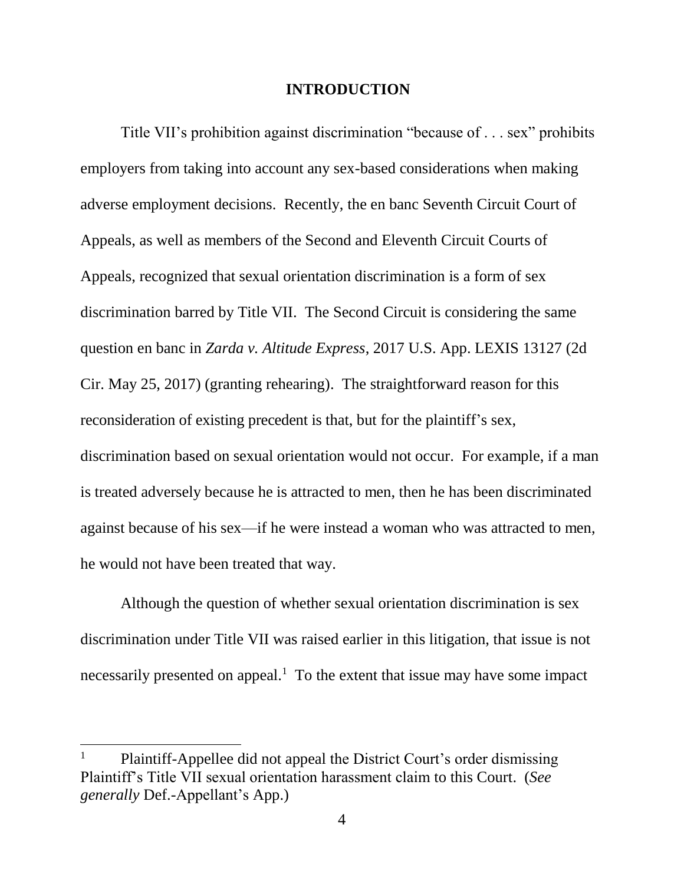#### **INTRODUCTION**

Title VII's prohibition against discrimination "because of . . . sex" prohibits employers from taking into account any sex-based considerations when making adverse employment decisions. Recently, the en banc Seventh Circuit Court of Appeals, as well as members of the Second and Eleventh Circuit Courts of Appeals, recognized that sexual orientation discrimination is a form of sex discrimination barred by Title VII. The Second Circuit is considering the same question en banc in *Zarda v. Altitude Express*, 2017 U.S. App. LEXIS 13127 (2d Cir. May 25, 2017) (granting rehearing). The straightforward reason for this reconsideration of existing precedent is that, but for the plaintiff's sex, discrimination based on sexual orientation would not occur. For example, if a man is treated adversely because he is attracted to men, then he has been discriminated against because of his sex—if he were instead a woman who was attracted to men, he would not have been treated that way.

Although the question of whether sexual orientation discrimination is sex discrimination under Title VII was raised earlier in this litigation, that issue is not necessarily presented on appeal.<sup>1</sup> To the extent that issue may have some impact

 $\overline{\phantom{a}}$ 

<sup>1</sup> Plaintiff-Appellee did not appeal the District Court's order dismissing Plaintiff's Title VII sexual orientation harassment claim to this Court. (*See generally* Def.-Appellant's App.)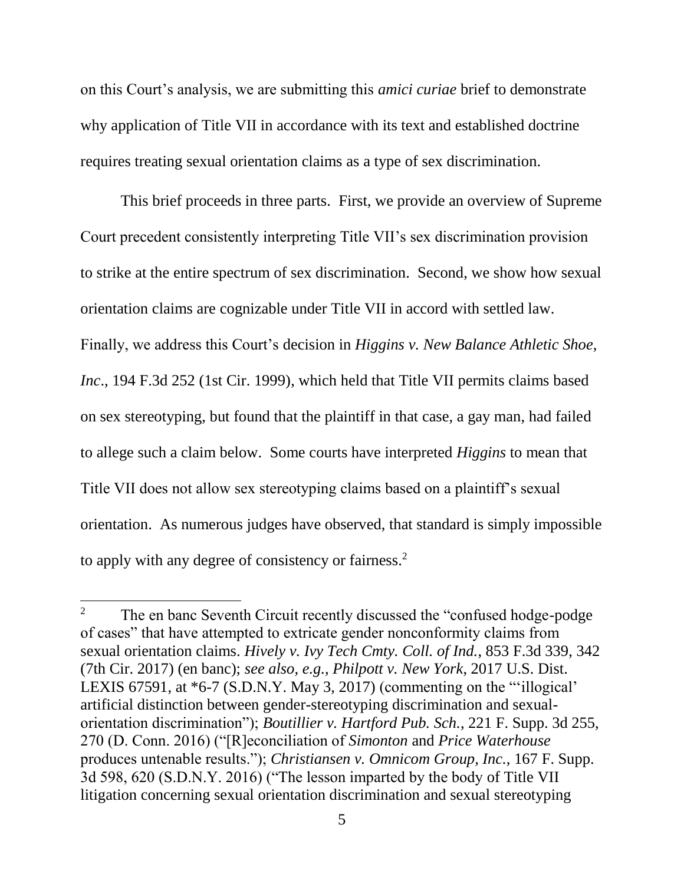on this Court's analysis, we are submitting this *amici curiae* brief to demonstrate why application of Title VII in accordance with its text and established doctrine requires treating sexual orientation claims as a type of sex discrimination.

This brief proceeds in three parts. First, we provide an overview of Supreme Court precedent consistently interpreting Title VII's sex discrimination provision to strike at the entire spectrum of sex discrimination. Second, we show how sexual orientation claims are cognizable under Title VII in accord with settled law. Finally, we address this Court's decision in *Higgins v. New Balance Athletic Shoe, Inc*., 194 F.3d 252 (1st Cir. 1999), which held that Title VII permits claims based on sex stereotyping, but found that the plaintiff in that case, a gay man, had failed to allege such a claim below. Some courts have interpreted *Higgins* to mean that Title VII does not allow sex stereotyping claims based on a plaintiff's sexual orientation. As numerous judges have observed, that standard is simply impossible to apply with any degree of consistency or fairness.<sup>2</sup>

 $\overline{\phantom{a}}$ 

<sup>&</sup>lt;sup>2</sup> The en banc Seventh Circuit recently discussed the "confused hodge-podge" of cases" that have attempted to extricate gender nonconformity claims from sexual orientation claims. *Hively v. Ivy Tech Cmty. Coll. of Ind.*, 853 F.3d 339, 342 (7th Cir. 2017) (en banc); *see also, e.g., Philpott v. New York*, 2017 U.S. Dist. LEXIS 67591, at \*6-7 (S.D.N.Y. May 3, 2017) (commenting on the "'illogical' artificial distinction between gender-stereotyping discrimination and sexualorientation discrimination"); *Boutillier v. Hartford Pub. Sch.*, 221 F. Supp. 3d 255, 270 (D. Conn. 2016) ("[R]econciliation of *Simonton* and *Price Waterhouse* produces untenable results."); *Christiansen v. Omnicom Group, Inc.*, 167 F. Supp. 3d 598, 620 (S.D.N.Y. 2016) ("The lesson imparted by the body of Title VII litigation concerning sexual orientation discrimination and sexual stereotyping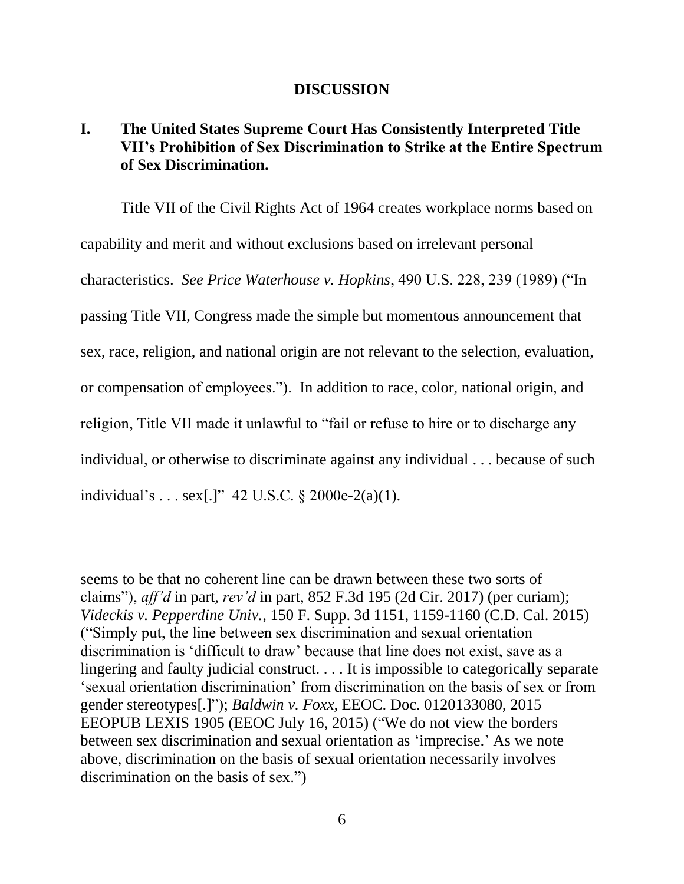#### **DISCUSSION**

# **I. The United States Supreme Court Has Consistently Interpreted Title VII's Prohibition of Sex Discrimination to Strike at the Entire Spectrum of Sex Discrimination.**

Title VII of the Civil Rights Act of 1964 creates workplace norms based on capability and merit and without exclusions based on irrelevant personal characteristics. *See Price Waterhouse v. Hopkins*, 490 U.S. 228, 239 (1989) ("In passing Title VII, Congress made the simple but momentous announcement that sex, race, religion, and national origin are not relevant to the selection, evaluation, or compensation of employees."). In addition to race, color, national origin, and religion, Title VII made it unlawful to "fail or refuse to hire or to discharge any individual, or otherwise to discriminate against any individual . . . because of such individual's . . . sex[.]" 42 U.S.C. § 2000e-2(a)(1).

 $\overline{a}$ 

seems to be that no coherent line can be drawn between these two sorts of claims"), *aff'd* in part, *rev'd* in part, 852 F.3d 195 (2d Cir. 2017) (per curiam); *Videckis v. Pepperdine Univ.*, 150 F. Supp. 3d 1151, 1159-1160 (C.D. Cal. 2015) ("Simply put, the line between sex discrimination and sexual orientation discrimination is 'difficult to draw' because that line does not exist, save as a lingering and faulty judicial construct. . . . It is impossible to categorically separate 'sexual orientation discrimination' from discrimination on the basis of sex or from gender stereotypes[.]"); *Baldwin v. Foxx,* EEOC. Doc. 0120133080, 2015 EEOPUB LEXIS 1905 (EEOC July 16, 2015) ("We do not view the borders between sex discrimination and sexual orientation as 'imprecise.' As we note above, discrimination on the basis of sexual orientation necessarily involves discrimination on the basis of sex.")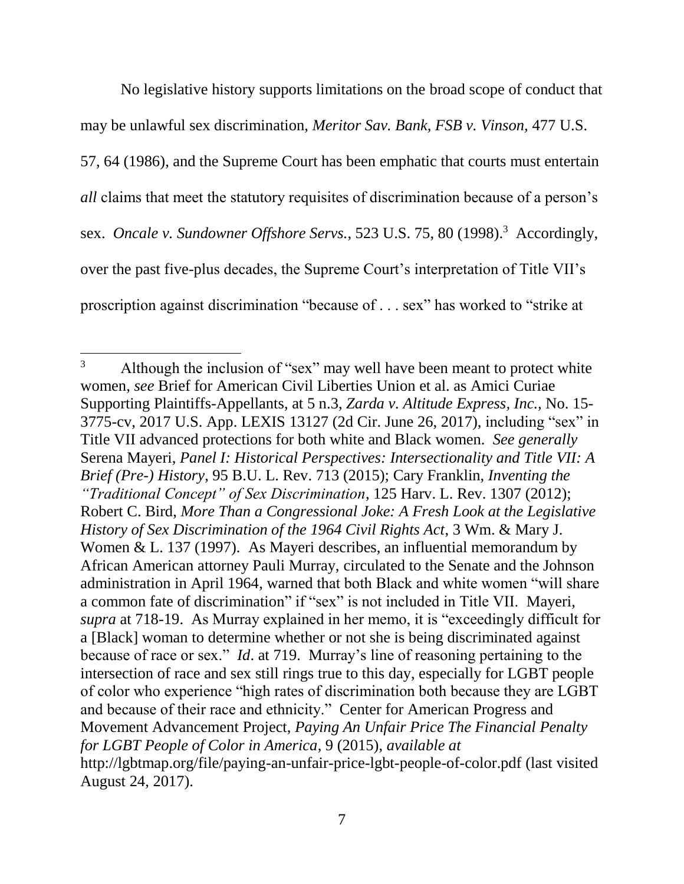No legislative history supports limitations on the broad scope of conduct that may be unlawful sex discrimination, *Meritor Sav. Bank, FSB v. Vinson,* 477 U.S. 57, 64 (1986), and the Supreme Court has been emphatic that courts must entertain *all* claims that meet the statutory requisites of discrimination because of a person's sex. *Oncale v. Sundowner Offshore Servs.*, 523 U.S. 75, 80 (1998).<sup>3</sup> Accordingly, over the past five-plus decades, the Supreme Court's interpretation of Title VII's proscription against discrimination "because of . . . sex" has worked to "strike at

l <sup>3</sup> Although the inclusion of "sex" may well have been meant to protect white women, *see* Brief for American Civil Liberties Union et al. as Amici Curiae Supporting Plaintiffs-Appellants, at 5 n.3, *Zarda v. Altitude Express, Inc.,* No. 15- 3775-cv, 2017 U.S. App. LEXIS 13127 (2d Cir. June 26, 2017), including "sex" in Title VII advanced protections for both white and Black women. *See generally* Serena Mayeri, *Panel I: Historical Perspectives: Intersectionality and Title VII: A Brief (Pre-) History*, 95 B.U. L. Rev. 713 (2015); Cary Franklin, *Inventing the "Traditional Concept" of Sex Discrimination*, 125 Harv. L. Rev. 1307 (2012); Robert C. Bird, *More Than a Congressional Joke: A Fresh Look at the Legislative History of Sex Discrimination of the 1964 Civil Rights Act*, 3 Wm. & Mary J. Women & L. 137 (1997). As Mayeri describes, an influential memorandum by African American attorney Pauli Murray, circulated to the Senate and the Johnson administration in April 1964, warned that both Black and white women "will share a common fate of discrimination" if "sex" is not included in Title VII. Mayeri, *supra* at 718-19. As Murray explained in her memo, it is "exceedingly difficult for a [Black] woman to determine whether or not she is being discriminated against because of race or sex." *Id*. at 719. Murray's line of reasoning pertaining to the intersection of race and sex still rings true to this day, especially for LGBT people of color who experience "high rates of discrimination both because they are LGBT and because of their race and ethnicity." Center for American Progress and Movement Advancement Project, *Paying An Unfair Price The Financial Penalty for LGBT People of Color in America*, 9 (2015), *available at* http://lgbtmap.org/file/paying-an-unfair-price-lgbt-people-of-color.pdf (last visited August 24, 2017).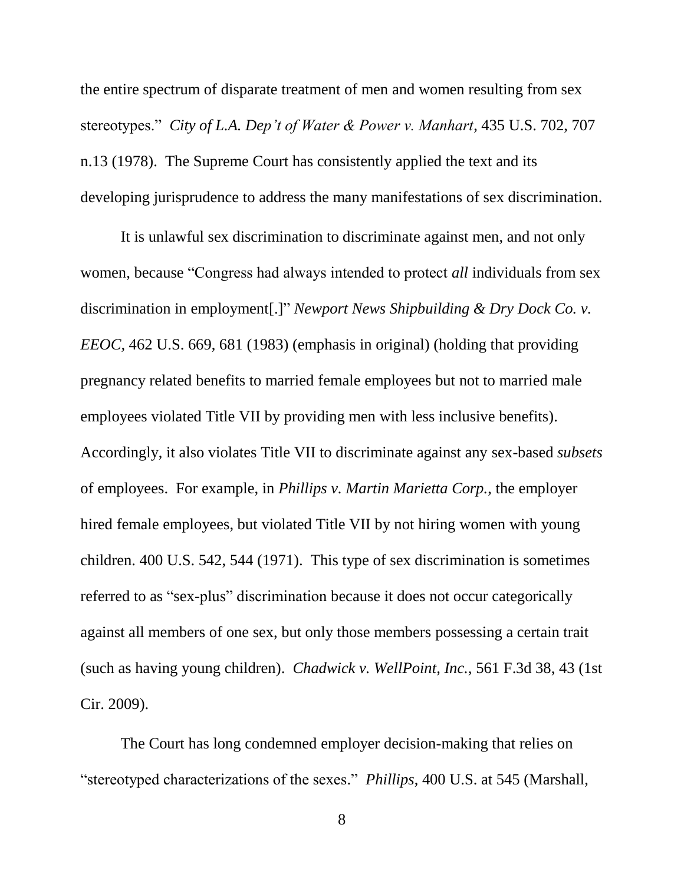the entire spectrum of disparate treatment of men and women resulting from sex stereotypes." *City of L.A. Dep't of Water & Power v. Manhart*, 435 U.S. 702, 707 n.13 (1978). The Supreme Court has consistently applied the text and its developing jurisprudence to address the many manifestations of sex discrimination.

It is unlawful sex discrimination to discriminate against men, and not only women, because "Congress had always intended to protect *all* individuals from sex discrimination in employment[.]" *Newport News Shipbuilding & Dry Dock Co. v. EEOC,* 462 U.S. 669, 681 (1983) (emphasis in original) (holding that providing pregnancy related benefits to married female employees but not to married male employees violated Title VII by providing men with less inclusive benefits). Accordingly, it also violates Title VII to discriminate against any sex-based *subsets* of employees. For example, in *Phillips v. Martin Marietta Corp.*, the employer hired female employees, but violated Title VII by not hiring women with young children. 400 U.S. 542, 544 (1971). This type of sex discrimination is sometimes referred to as "sex-plus" discrimination because it does not occur categorically against all members of one sex, but only those members possessing a certain trait (such as having young children). *Chadwick v. WellPoint, Inc.,* 561 F.3d 38, 43 (1st Cir. 2009).

The Court has long condemned employer decision-making that relies on "stereotyped characterizations of the sexes." *Phillips*, 400 U.S. at 545 (Marshall,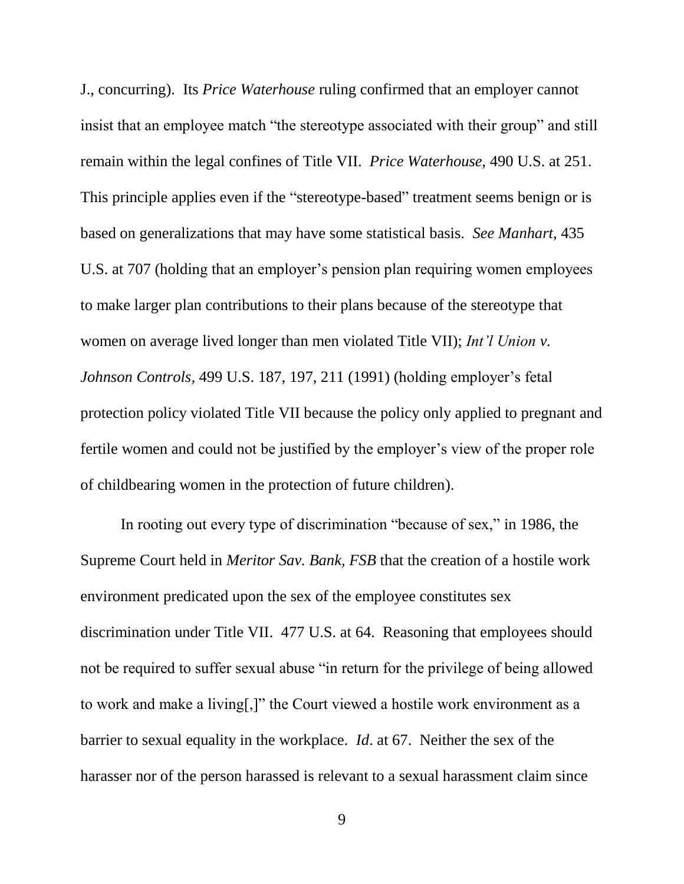J., concurring). Its *Price Waterhouse* ruling confirmed that an employer cannot insist that an employee match "the stereotype associated with their group" and still remain within the legal confines of Title VII. *Price Waterhouse,* 490 U.S. at 251. This principle applies even if the "stereotype-based" treatment seems benign or is based on generalizations that may have some statistical basis. *See Manhart*, 435 U.S. at 707 (holding that an employer's pension plan requiring women employees to make larger plan contributions to their plans because of the stereotype that women on average lived longer than men violated Title VII); *Int'l Union v. Johnson Controls,* 499 U.S. 187, 197, 211 (1991) (holding employer's fetal protection policy violated Title VII because the policy only applied to pregnant and fertile women and could not be justified by the employer's view of the proper role of childbearing women in the protection of future children).

In rooting out every type of discrimination "because of sex," in 1986, the Supreme Court held in *Meritor Sav. Bank, FSB* that the creation of a hostile work environment predicated upon the sex of the employee constitutes sex discrimination under Title VII. 477 U.S. at 64. Reasoning that employees should not be required to suffer sexual abuse "in return for the privilege of being allowed to work and make a living[,]" the Court viewed a hostile work environment as a barrier to sexual equality in the workplace. *Id*. at 67. Neither the sex of the harasser nor of the person harassed is relevant to a sexual harassment claim since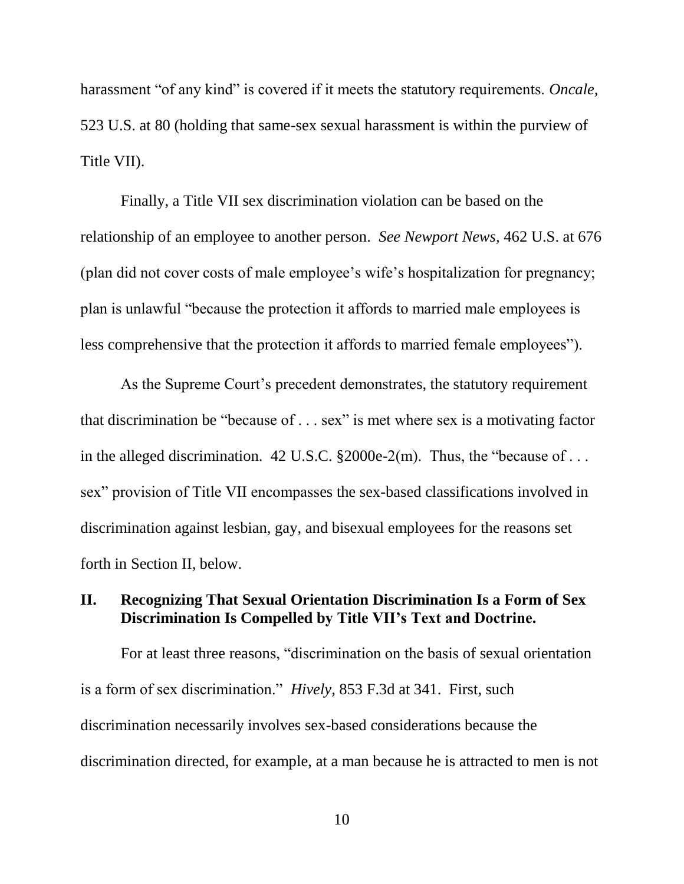harassment "of any kind" is covered if it meets the statutory requirements. *Oncale,* 523 U.S. at 80 (holding that same-sex sexual harassment is within the purview of Title VII).

Finally, a Title VII sex discrimination violation can be based on the relationship of an employee to another person. *See Newport News,* 462 U.S. at 676 (plan did not cover costs of male employee's wife's hospitalization for pregnancy; plan is unlawful "because the protection it affords to married male employees is less comprehensive that the protection it affords to married female employees").

As the Supreme Court's precedent demonstrates, the statutory requirement that discrimination be "because of . . . sex" is met where sex is a motivating factor in the alleged discrimination. 42 U.S.C.  $\S 2000e-2(m)$ . Thus, the "because of ... sex" provision of Title VII encompasses the sex-based classifications involved in discrimination against lesbian, gay, and bisexual employees for the reasons set forth in Section II, below.

### **II. Recognizing That Sexual Orientation Discrimination Is a Form of Sex Discrimination Is Compelled by Title VII's Text and Doctrine.**

For at least three reasons, "discrimination on the basis of sexual orientation is a form of sex discrimination." *Hively,* 853 F.3d at 341. First, such discrimination necessarily involves sex-based considerations because the discrimination directed, for example, at a man because he is attracted to men is not

10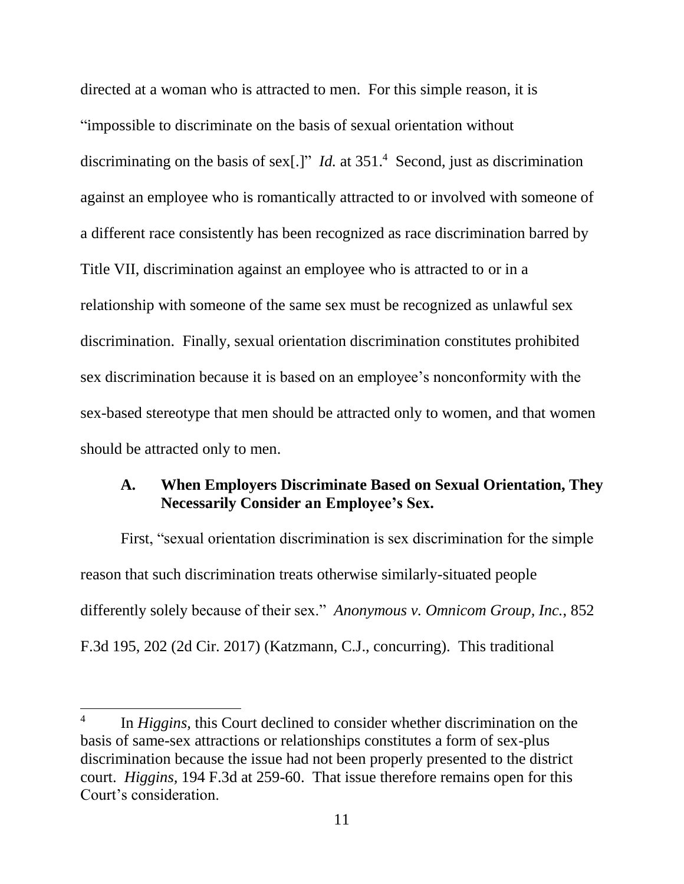directed at a woman who is attracted to men. For this simple reason, it is "impossible to discriminate on the basis of sexual orientation without discriminating on the basis of sex[.]" *Id.* at 351.<sup>4</sup> Second, just as discrimination against an employee who is romantically attracted to or involved with someone of a different race consistently has been recognized as race discrimination barred by Title VII, discrimination against an employee who is attracted to or in a relationship with someone of the same sex must be recognized as unlawful sex discrimination. Finally, sexual orientation discrimination constitutes prohibited sex discrimination because it is based on an employee's nonconformity with the sex-based stereotype that men should be attracted only to women, and that women should be attracted only to men.

### **A. When Employers Discriminate Based on Sexual Orientation, They Necessarily Consider an Employee's Sex.**

First, "sexual orientation discrimination is sex discrimination for the simple reason that such discrimination treats otherwise similarly-situated people differently solely because of their sex." *Anonymous v. Omnicom Group, Inc.*, 852 F.3d 195, 202 (2d Cir. 2017) (Katzmann, C.J., concurring). This traditional

 $\overline{\phantom{a}}$ 

<sup>4</sup> In *Higgins,* this Court declined to consider whether discrimination on the basis of same-sex attractions or relationships constitutes a form of sex-plus discrimination because the issue had not been properly presented to the district court. *Higgins,* 194 F.3d at 259-60. That issue therefore remains open for this Court's consideration.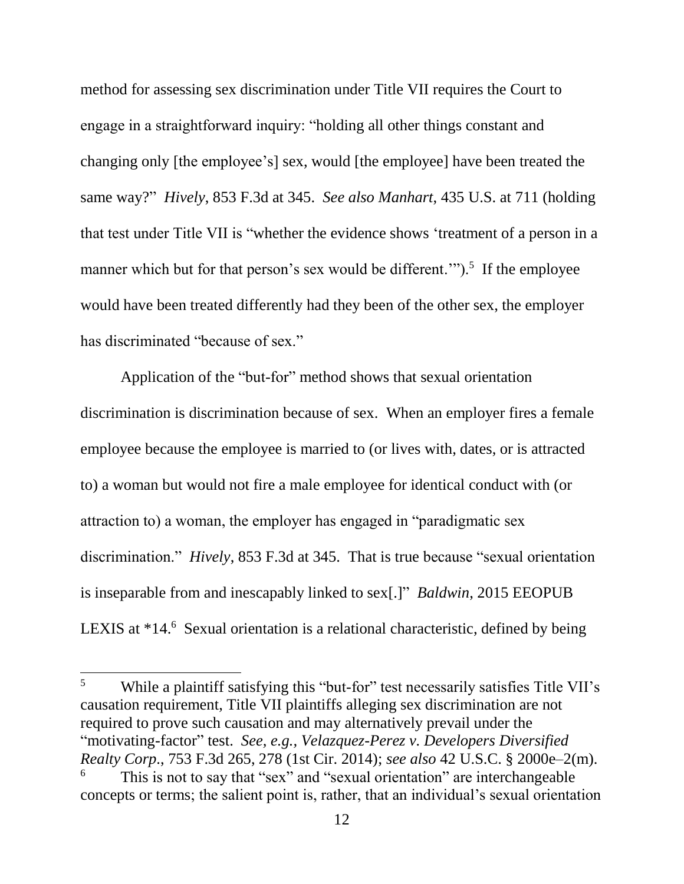method for assessing sex discrimination under Title VII requires the Court to engage in a straightforward inquiry: "holding all other things constant and changing only [the employee's] sex, would [the employee] have been treated the same way?" *Hively*, 853 F.3d at 345. *See also Manhart*, 435 U.S. at 711 (holding that test under Title VII is "whether the evidence shows 'treatment of a person in a manner which but for that person's sex would be different."").<sup>5</sup> If the employee would have been treated differently had they been of the other sex, the employer has discriminated "because of sex."

Application of the "but-for" method shows that sexual orientation discrimination is discrimination because of sex. When an employer fires a female employee because the employee is married to (or lives with, dates, or is attracted to) a woman but would not fire a male employee for identical conduct with (or attraction to) a woman, the employer has engaged in "paradigmatic sex discrimination." *Hively*, 853 F.3d at 345. That is true because "sexual orientation is inseparable from and inescapably linked to sex[.]" *Baldwin*, 2015 EEOPUB LEXIS at \*14.<sup>6</sup> Sexual orientation is a relational characteristic, defined by being

 $\overline{\phantom{a}}$ 

<sup>&</sup>lt;sup>5</sup> While a plaintiff satisfying this "but-for" test necessarily satisfies Title VII's causation requirement, Title VII plaintiffs alleging sex discrimination are not required to prove such causation and may alternatively prevail under the "motivating-factor" test. *See, e.g., Velazquez-Perez v. Developers Diversified Realty Corp*., 753 F.3d 265, 278 (1st Cir. 2014); *see also* 42 U.S.C. § 2000e–2(m). This is not to say that "sex" and "sexual orientation" are interchangeable concepts or terms; the salient point is, rather, that an individual's sexual orientation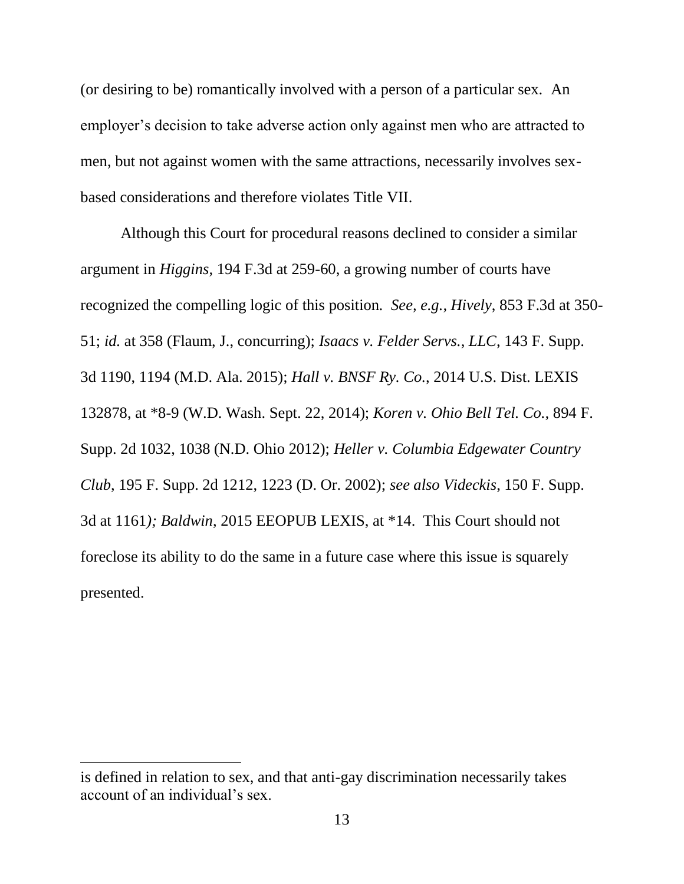(or desiring to be) romantically involved with a person of a particular sex. An employer's decision to take adverse action only against men who are attracted to men, but not against women with the same attractions, necessarily involves sexbased considerations and therefore violates Title VII.

Although this Court for procedural reasons declined to consider a similar argument in *Higgins,* 194 F.3d at 259-60, a growing number of courts have recognized the compelling logic of this position*. See, e.g., Hively*, 853 F.3d at 350- 51; *id.* at 358 (Flaum, J., concurring); *Isaacs v. Felder Servs., LLC*, 143 F. Supp. 3d 1190, 1194 (M.D. Ala. 2015); *Hall v. BNSF Ry. Co.*, 2014 U.S. Dist. LEXIS 132878, at \*8-9 (W.D. Wash. Sept. 22, 2014); *Koren v. Ohio Bell Tel. Co.,* 894 F. Supp. 2d 1032, 1038 (N.D. Ohio 2012); *Heller v. Columbia Edgewater Country Club*, 195 F. Supp. 2d 1212, 1223 (D. Or. 2002); *see also Videckis*, 150 F. Supp. 3d at 1161*); Baldwin*, 2015 EEOPUB LEXIS, at \*14. This Court should not foreclose its ability to do the same in a future case where this issue is squarely presented.

l

is defined in relation to sex, and that anti-gay discrimination necessarily takes account of an individual's sex.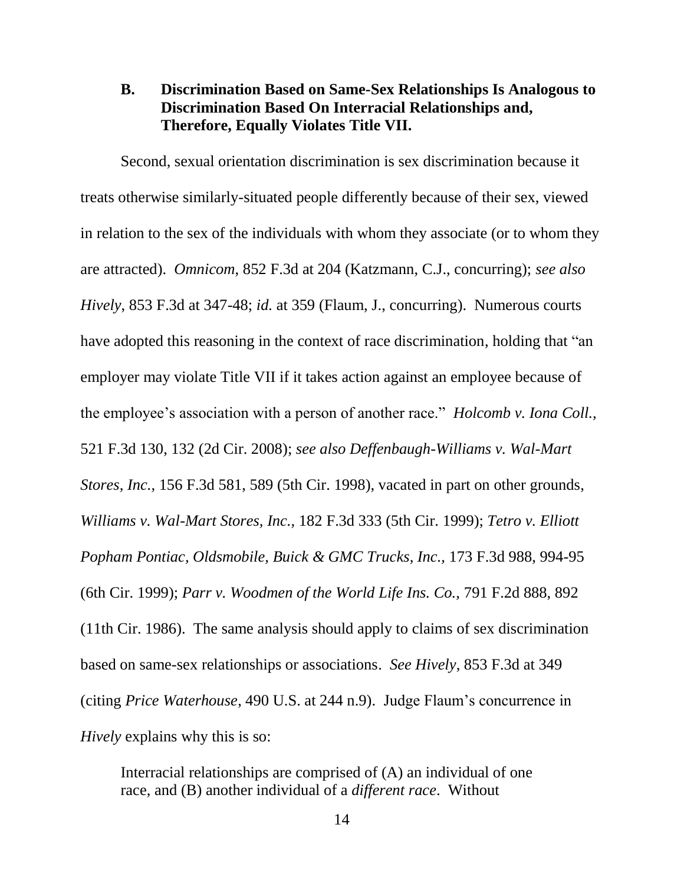### **B. Discrimination Based on Same-Sex Relationships Is Analogous to Discrimination Based On Interracial Relationships and, Therefore, Equally Violates Title VII.**

Second, sexual orientation discrimination is sex discrimination because it treats otherwise similarly-situated people differently because of their sex, viewed in relation to the sex of the individuals with whom they associate (or to whom they are attracted). *Omnicom*, 852 F.3d at 204 (Katzmann, C.J., concurring); *see also Hively*, 853 F.3d at 347-48; *id.* at 359 (Flaum, J., concurring). Numerous courts have adopted this reasoning in the context of race discrimination, holding that "an employer may violate Title VII if it takes action against an employee because of the employee's association with a person of another race." *Holcomb v. Iona Coll.,* 521 F.3d 130, 132 (2d Cir. 2008); *see also Deffenbaugh-Williams v. Wal-Mart Stores, Inc.,* 156 F.3d 581, 589 (5th Cir. 1998), vacated in part on other grounds, *Williams v. Wal-Mart Stores, Inc.,* 182 F.3d 333 (5th Cir. 1999); *Tetro v. Elliott Popham Pontiac, Oldsmobile, Buick & GMC Trucks, Inc.,* 173 F.3d 988, 994-95 (6th Cir. 1999); *Parr v. Woodmen of the World Life Ins. Co.,* 791 F.2d 888, 892 (11th Cir. 1986). The same analysis should apply to claims of sex discrimination based on same-sex relationships or associations. *See Hively*, 853 F.3d at 349 (citing *Price Waterhouse*, 490 U.S. at 244 n.9). Judge Flaum's concurrence in *Hively* explains why this is so:

Interracial relationships are comprised of (A) an individual of one race, and (B) another individual of a *different race*. Without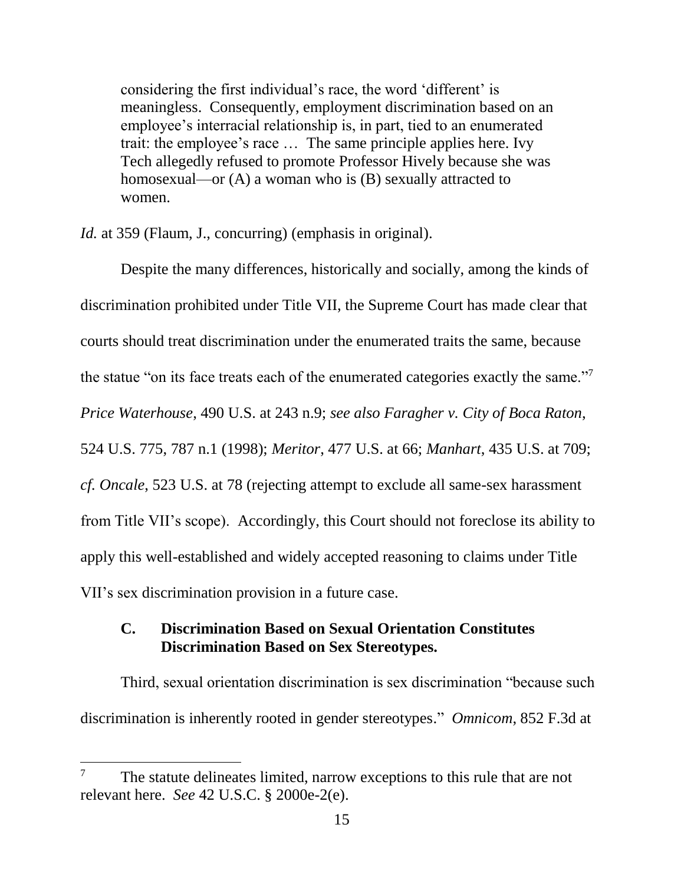considering the first individual's race, the word 'different' is meaningless. Consequently, employment discrimination based on an employee's interracial relationship is, in part, tied to an enumerated trait: the employee's race … The same principle applies here. Ivy Tech allegedly refused to promote Professor Hively because she was homosexual—or (A) a woman who is (B) sexually attracted to women.

*Id.* at 359 (Flaum, J., concurring) (emphasis in original).

Despite the many differences, historically and socially, among the kinds of discrimination prohibited under Title VII, the Supreme Court has made clear that courts should treat discrimination under the enumerated traits the same, because the statue "on its face treats each of the enumerated categories exactly the same."<sup>7</sup> *Price Waterhouse*, 490 U.S. at 243 n.9; *see also Faragher v. City of Boca Raton*, 524 U.S. 775, 787 n.1 (1998); *Meritor*, 477 U.S. at 66; *Manhart*, 435 U.S. at 709; *cf. Oncale*, 523 U.S. at 78 (rejecting attempt to exclude all same-sex harassment from Title VII's scope). Accordingly, this Court should not foreclose its ability to apply this well-established and widely accepted reasoning to claims under Title VII's sex discrimination provision in a future case.

# **C. Discrimination Based on Sexual Orientation Constitutes Discrimination Based on Sex Stereotypes.**

Third, sexual orientation discrimination is sex discrimination "because such discrimination is inherently rooted in gender stereotypes." *Omnicom*, 852 F.3d at

l

<sup>&</sup>lt;sup>7</sup> The statute delineates limited, narrow exceptions to this rule that are not relevant here. *See* 42 U.S.C. § 2000e-2(e).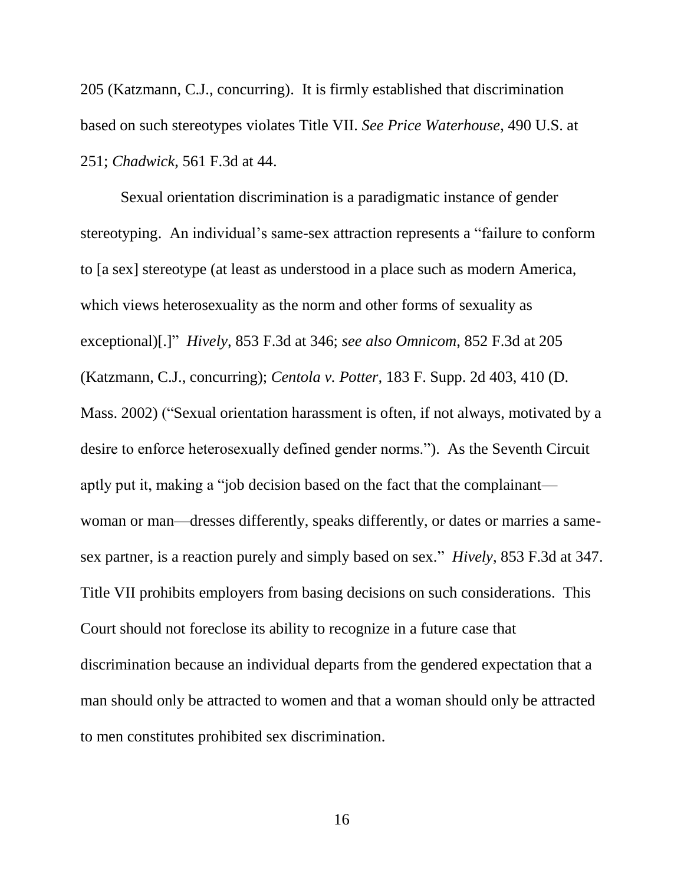205 (Katzmann, C.J., concurring). It is firmly established that discrimination based on such stereotypes violates Title VII. *See Price Waterhouse*, 490 U.S. at 251; *Chadwick*, 561 F.3d at 44.

Sexual orientation discrimination is a paradigmatic instance of gender stereotyping. An individual's same-sex attraction represents a "failure to conform to [a sex] stereotype (at least as understood in a place such as modern America, which views heterosexuality as the norm and other forms of sexuality as exceptional)[.]" *Hively*, 853 F.3d at 346; *see also Omnicom*, 852 F.3d at 205 (Katzmann, C.J., concurring); *Centola v. Potter,* 183 F. Supp. 2d 403, 410 (D. Mass. 2002) ("Sexual orientation harassment is often, if not always, motivated by a desire to enforce heterosexually defined gender norms."). As the Seventh Circuit aptly put it, making a "job decision based on the fact that the complainant woman or man—dresses differently, speaks differently, or dates or marries a samesex partner, is a reaction purely and simply based on sex." *Hively*, 853 F.3d at 347. Title VII prohibits employers from basing decisions on such considerations. This Court should not foreclose its ability to recognize in a future case that discrimination because an individual departs from the gendered expectation that a man should only be attracted to women and that a woman should only be attracted to men constitutes prohibited sex discrimination.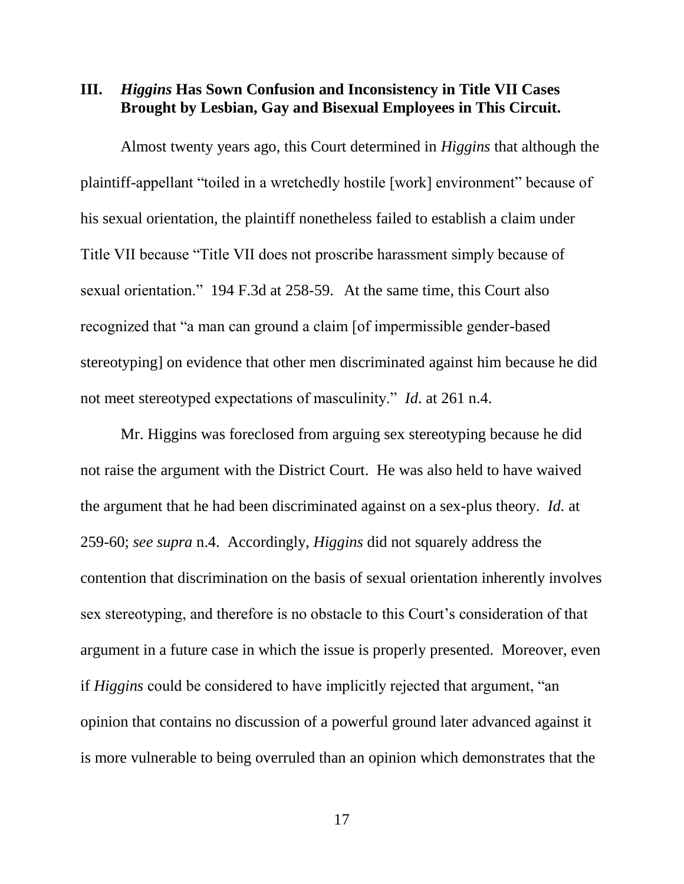### **III.** *Higgins* **Has Sown Confusion and Inconsistency in Title VII Cases Brought by Lesbian, Gay and Bisexual Employees in This Circuit.**

Almost twenty years ago, this Court determined in *Higgins* that although the plaintiff-appellant "toiled in a wretchedly hostile [work] environment" because of his sexual orientation, the plaintiff nonetheless failed to establish a claim under Title VII because "Title VII does not proscribe harassment simply because of sexual orientation." 194 F.3d at 258-59. At the same time, this Court also recognized that "a man can ground a claim [of impermissible gender-based stereotyping] on evidence that other men discriminated against him because he did not meet stereotyped expectations of masculinity." *Id*. at 261 n.4.

Mr. Higgins was foreclosed from arguing sex stereotyping because he did not raise the argument with the District Court. He was also held to have waived the argument that he had been discriminated against on a sex-plus theory. *Id.* at 259-60; *see supra* n.4. Accordingly, *Higgins* did not squarely address the contention that discrimination on the basis of sexual orientation inherently involves sex stereotyping, and therefore is no obstacle to this Court's consideration of that argument in a future case in which the issue is properly presented. Moreover, even if *Higgins* could be considered to have implicitly rejected that argument, "an opinion that contains no discussion of a powerful ground later advanced against it is more vulnerable to being overruled than an opinion which demonstrates that the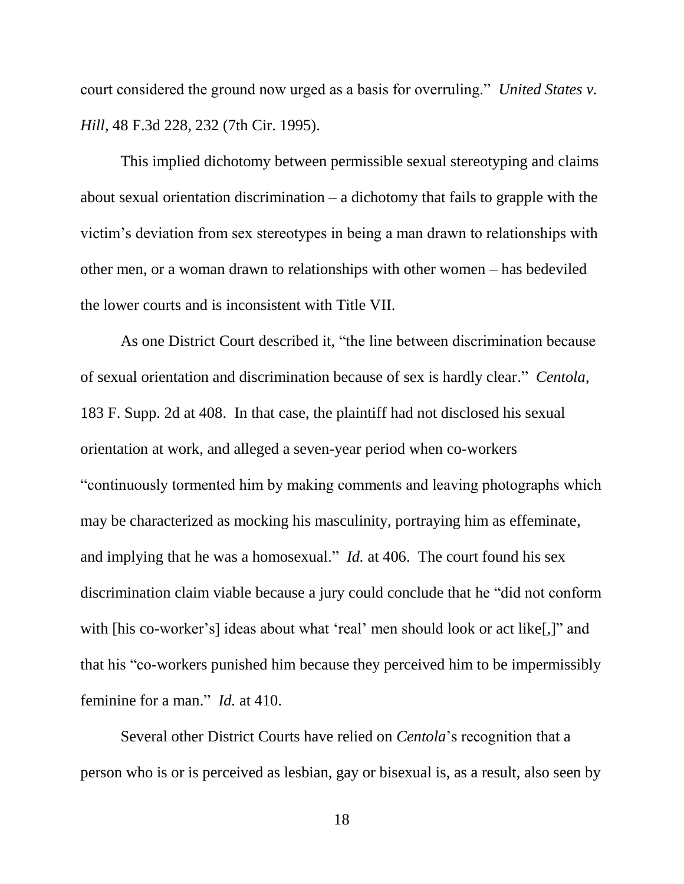court considered the ground now urged as a basis for overruling." *United States v. Hill*, 48 F.3d 228, 232 (7th Cir. 1995).

This implied dichotomy between permissible sexual stereotyping and claims about sexual orientation discrimination – a dichotomy that fails to grapple with the victim's deviation from sex stereotypes in being a man drawn to relationships with other men, or a woman drawn to relationships with other women – has bedeviled the lower courts and is inconsistent with Title VII.

As one District Court described it, "the line between discrimination because of sexual orientation and discrimination because of sex is hardly clear." *Centola,*  183 F. Supp. 2d at 408. In that case, the plaintiff had not disclosed his sexual orientation at work, and alleged a seven-year period when co-workers "continuously tormented him by making comments and leaving photographs which may be characterized as mocking his masculinity, portraying him as effeminate, and implying that he was a homosexual." *Id.* at 406. The court found his sex discrimination claim viable because a jury could conclude that he "did not conform with [his co-worker's] ideas about what 'real' men should look or act like[,]" and that his "co-workers punished him because they perceived him to be impermissibly feminine for a man." *Id.* at 410.

Several other District Courts have relied on *Centola*'s recognition that a person who is or is perceived as lesbian, gay or bisexual is, as a result, also seen by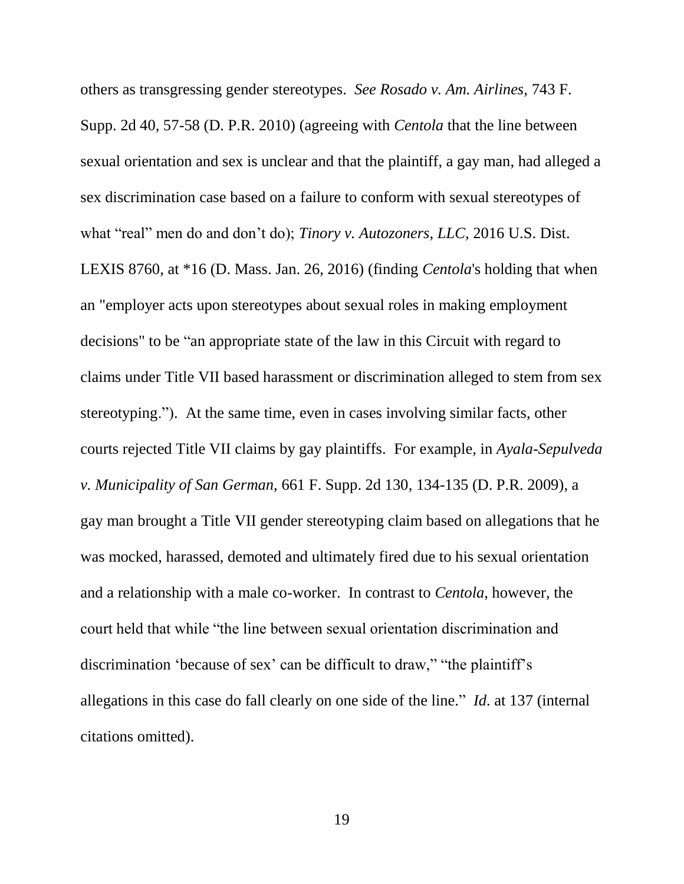others as transgressing gender stereotypes. *See Rosado v. Am. Airlines,* 743 F. Supp. 2d 40, 57-58 (D. P.R. 2010) (agreeing with *Centola* that the line between sexual orientation and sex is unclear and that the plaintiff, a gay man, had alleged a sex discrimination case based on a failure to conform with sexual stereotypes of what "real" men do and don't do); *Tinory v. Autozoners, LLC,* 2016 U.S. Dist. LEXIS 8760, at \*16 (D. Mass. Jan. 26, 2016) (finding *Centola*'s holding that when an "employer acts upon stereotypes about sexual roles in making employment decisions" to be "an appropriate state of the law in this Circuit with regard to claims under Title VII based harassment or discrimination alleged to stem from sex stereotyping."). At the same time, even in cases involving similar facts, other courts rejected Title VII claims by gay plaintiffs. For example, in *Ayala-Sepulveda v. Municipality of San German,* 661 F. Supp. 2d 130, 134-135 (D. P.R. 2009), a gay man brought a Title VII gender stereotyping claim based on allegations that he was mocked, harassed, demoted and ultimately fired due to his sexual orientation and a relationship with a male co-worker. In contrast to *Centola*, however, the court held that while "the line between sexual orientation discrimination and discrimination 'because of sex' can be difficult to draw," "the plaintiff's allegations in this case do fall clearly on one side of the line." *Id*. at 137 (internal citations omitted).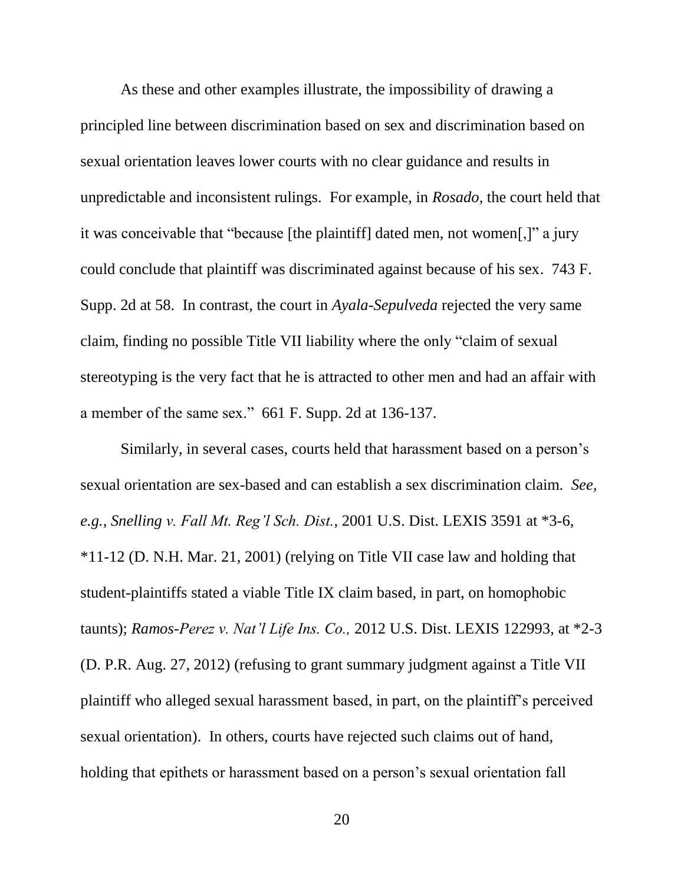As these and other examples illustrate, the impossibility of drawing a principled line between discrimination based on sex and discrimination based on sexual orientation leaves lower courts with no clear guidance and results in unpredictable and inconsistent rulings. For example, in *Rosado*, the court held that it was conceivable that "because [the plaintiff] dated men, not women[,]" a jury could conclude that plaintiff was discriminated against because of his sex. 743 F. Supp. 2d at 58. In contrast, the court in *Ayala-Sepulveda* rejected the very same claim, finding no possible Title VII liability where the only "claim of sexual stereotyping is the very fact that he is attracted to other men and had an affair with a member of the same sex." 661 F. Supp. 2d at 136-137.

Similarly, in several cases, courts held that harassment based on a person's sexual orientation are sex-based and can establish a sex discrimination claim. *See, e.g.*, *Snelling v. Fall Mt. Reg'l Sch. Dist.,* 2001 U.S. Dist. LEXIS 3591 at \*3-6, \*11-12 (D. N.H. Mar. 21, 2001) (relying on Title VII case law and holding that student-plaintiffs stated a viable Title IX claim based, in part, on homophobic taunts); *Ramos-Perez v. Nat'l Life Ins. Co.,* 2012 U.S. Dist. LEXIS 122993, at \*2-3 (D. P.R. Aug. 27, 2012) (refusing to grant summary judgment against a Title VII plaintiff who alleged sexual harassment based, in part, on the plaintiff's perceived sexual orientation). In others, courts have rejected such claims out of hand, holding that epithets or harassment based on a person's sexual orientation fall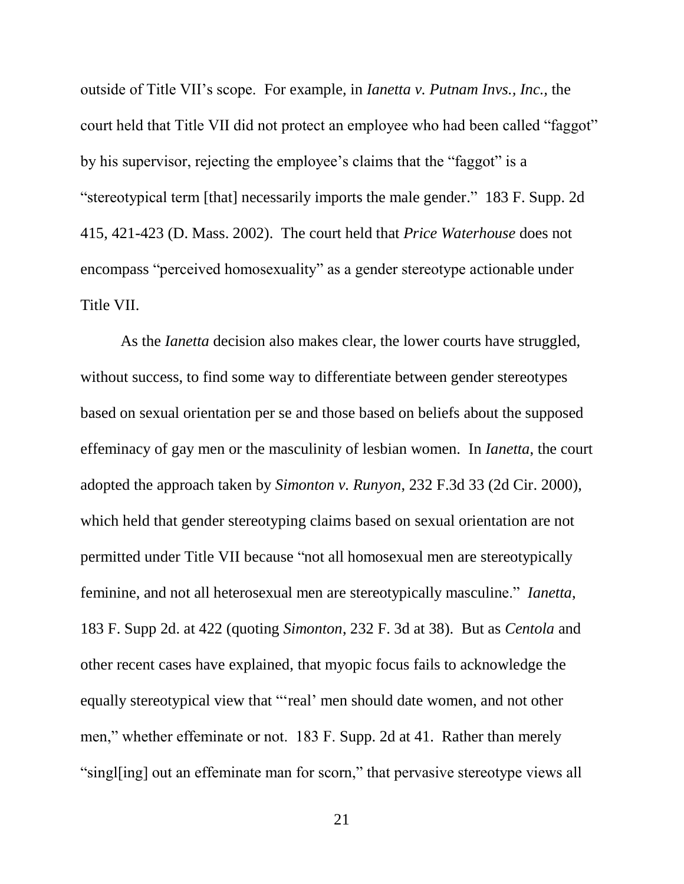outside of Title VII's scope. For example, in *Ianetta v. Putnam Invs., Inc.,* the court held that Title VII did not protect an employee who had been called "faggot" by his supervisor, rejecting the employee's claims that the "faggot" is a "stereotypical term [that] necessarily imports the male gender." 183 F. Supp. 2d 415, 421-423 (D. Mass. 2002). The court held that *Price Waterhouse* does not encompass "perceived homosexuality" as a gender stereotype actionable under Title VII.

As the *Ianetta* decision also makes clear, the lower courts have struggled, without success, to find some way to differentiate between gender stereotypes based on sexual orientation per se and those based on beliefs about the supposed effeminacy of gay men or the masculinity of lesbian women. In *Ianetta*, the court adopted the approach taken by *Simonton v. Runyon*, 232 F.3d 33 (2d Cir. 2000), which held that gender stereotyping claims based on sexual orientation are not permitted under Title VII because "not all homosexual men are stereotypically feminine, and not all heterosexual men are stereotypically masculine." *Ianetta*, 183 F. Supp 2d. at 422 (quoting *Simonton*, 232 F. 3d at 38). But as *Centola* and other recent cases have explained, that myopic focus fails to acknowledge the equally stereotypical view that "'real' men should date women, and not other men," whether effeminate or not. 183 F. Supp. 2d at 41. Rather than merely "singl[ing] out an effeminate man for scorn," that pervasive stereotype views all

21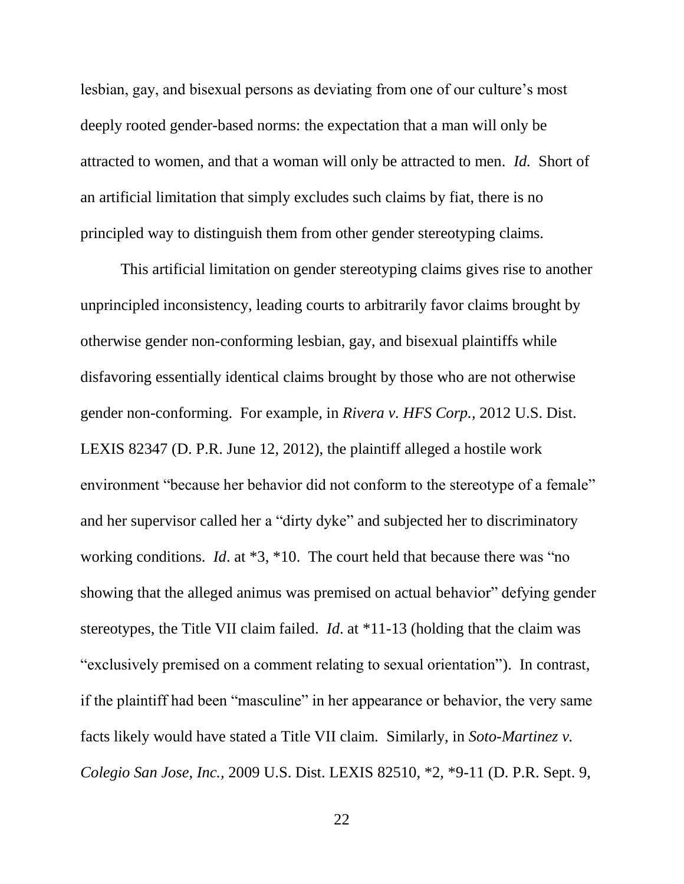lesbian, gay, and bisexual persons as deviating from one of our culture's most deeply rooted gender-based norms: the expectation that a man will only be attracted to women, and that a woman will only be attracted to men. *Id.* Short of an artificial limitation that simply excludes such claims by fiat, there is no principled way to distinguish them from other gender stereotyping claims.

This artificial limitation on gender stereotyping claims gives rise to another unprincipled inconsistency, leading courts to arbitrarily favor claims brought by otherwise gender non-conforming lesbian, gay, and bisexual plaintiffs while disfavoring essentially identical claims brought by those who are not otherwise gender non-conforming. For example, in *Rivera v. HFS Corp.,* 2012 U.S. Dist. LEXIS 82347 (D. P.R. June 12, 2012), the plaintiff alleged a hostile work environment "because her behavior did not conform to the stereotype of a female" and her supervisor called her a "dirty dyke" and subjected her to discriminatory working conditions. *Id*. at \*3, \*10. The court held that because there was "no showing that the alleged animus was premised on actual behavior" defying gender stereotypes, the Title VII claim failed. *Id*. at \*11-13 (holding that the claim was "exclusively premised on a comment relating to sexual orientation"). In contrast, if the plaintiff had been "masculine" in her appearance or behavior, the very same facts likely would have stated a Title VII claim. Similarly, in *Soto-Martinez v. Colegio San Jose, Inc.,* 2009 U.S. Dist. LEXIS 82510, \*2, \*9-11 (D. P.R. Sept. 9,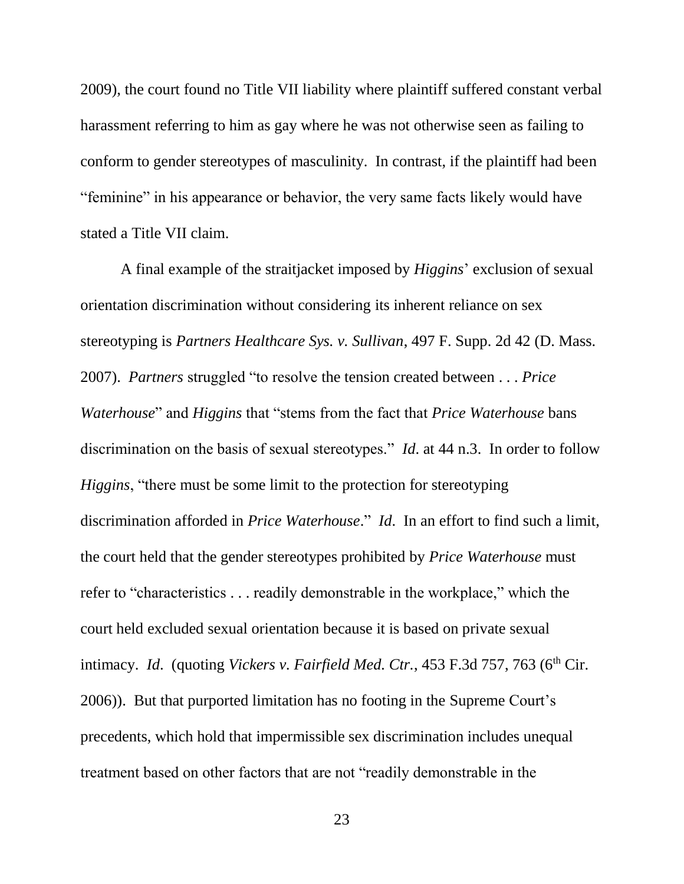2009), the court found no Title VII liability where plaintiff suffered constant verbal harassment referring to him as gay where he was not otherwise seen as failing to conform to gender stereotypes of masculinity. In contrast, if the plaintiff had been "feminine" in his appearance or behavior, the very same facts likely would have stated a Title VII claim.

A final example of the straitjacket imposed by *Higgins*' exclusion of sexual orientation discrimination without considering its inherent reliance on sex stereotyping is *Partners Healthcare Sys. v. Sullivan*, 497 F. Supp. 2d 42 (D. Mass. 2007). *Partners* struggled "to resolve the tension created between . . . *Price Waterhouse*" and *Higgins* that "stems from the fact that *Price Waterhouse* bans discrimination on the basis of sexual stereotypes." *Id*. at 44 n.3. In order to follow *Higgins*, "there must be some limit to the protection for stereotyping discrimination afforded in *Price Waterhouse*." *Id*. In an effort to find such a limit, the court held that the gender stereotypes prohibited by *Price Waterhouse* must refer to "characteristics . . . readily demonstrable in the workplace," which the court held excluded sexual orientation because it is based on private sexual intimacy. *Id.* (quoting *Vickers v. Fairfield Med. Ctr.*, 453 F.3d 757, 763 (6<sup>th</sup> Cir. 2006)). But that purported limitation has no footing in the Supreme Court's precedents, which hold that impermissible sex discrimination includes unequal treatment based on other factors that are not "readily demonstrable in the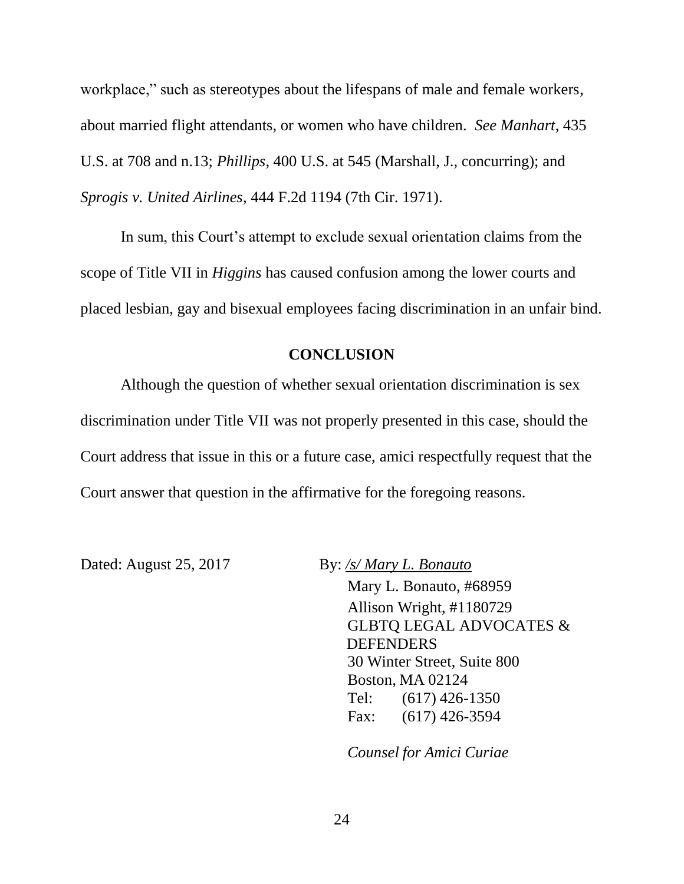workplace," such as stereotypes about the lifespans of male and female workers, about married flight attendants, or women who have children. *See Manhart*, 435 U.S. at 708 and n.13; *Phillips*, 400 U.S. at 545 (Marshall, J., concurring); and *Sprogis v. United Airlines*, 444 F.2d 1194 (7th Cir. 1971).

In sum, this Court's attempt to exclude sexual orientation claims from the scope of Title VII in *Higgins* has caused confusion among the lower courts and placed lesbian, gay and bisexual employees facing discrimination in an unfair bind.

#### **CONCLUSION**

Although the question of whether sexual orientation discrimination is sex discrimination under Title VII was not properly presented in this case, should the Court address that issue in this or a future case, amici respectfully request that the Court answer that question in the affirmative for the foregoing reasons.

Dated: August 25, 2017 By: */s/ Mary L. Bonauto*

Mary L. Bonauto, #68959 Allison Wright, #1180729 GLBTQ LEGAL ADVOCATES & DEFENDERS 30 Winter Street, Suite 800 Boston, MA 02124 Tel: (617) 426-1350 Fax: (617) 426-3594

*Counsel for Amici Curiae*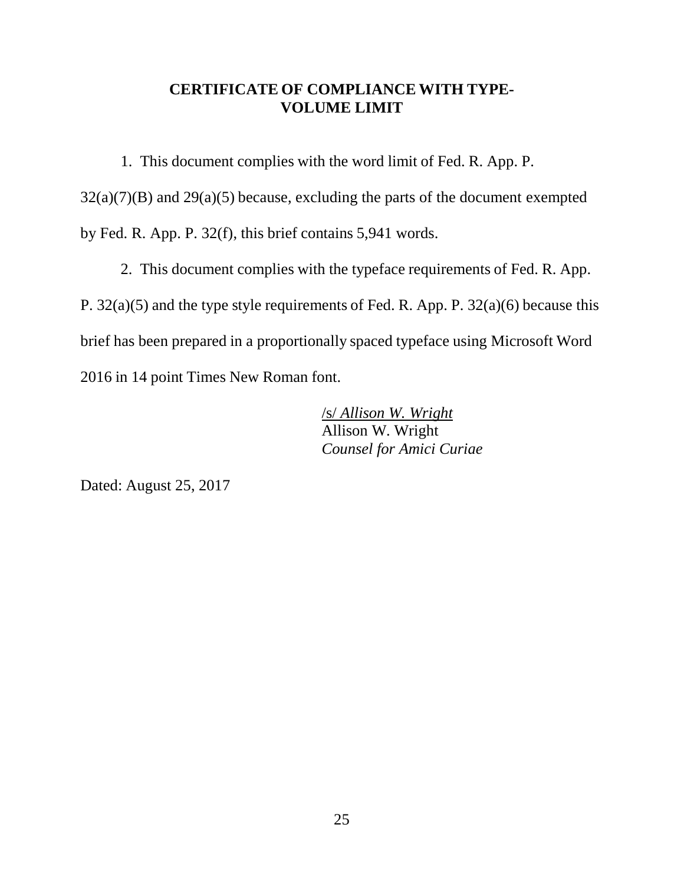### **CERTIFICATE OF COMPLIANCE WITH TYPE-VOLUME LIMIT**

1. This document complies with the word limit of Fed. R. App. P.

 $32(a)(7)(B)$  and  $29(a)(5)$  because, excluding the parts of the document exempted by Fed. R. App. P. 32(f), this brief contains 5,941 words.

2. This document complies with the typeface requirements of Fed. R. App. P. 32(a)(5) and the type style requirements of Fed. R. App. P. 32(a)(6) because this brief has been prepared in a proportionally spaced typeface using Microsoft Word 2016 in 14 point Times New Roman font.

> /s/ *Allison W. Wright* Allison W. Wright *Counsel for Amici Curiae*

Dated: August 25, 2017